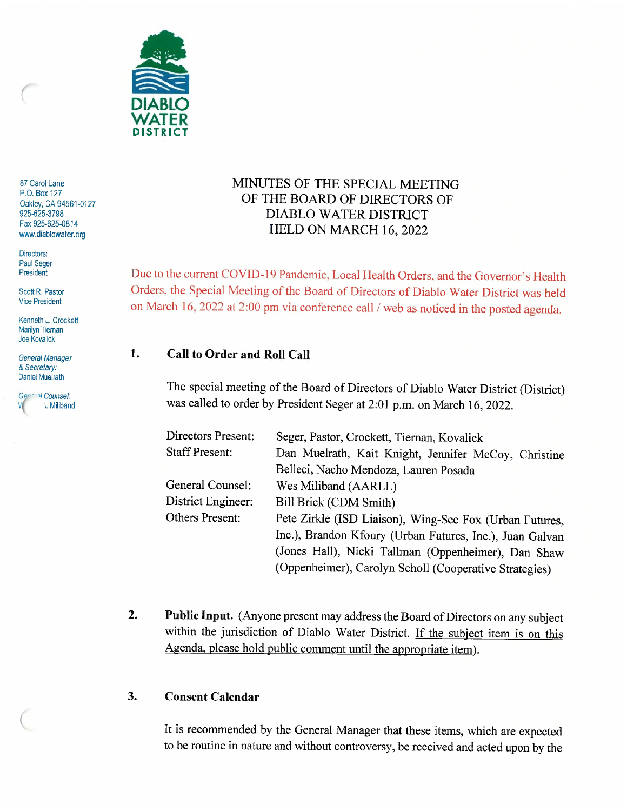

87 Carol Lane P,O. Box 127 Oakley, CA 94561-0127 925-625-3798 Fax 925-625-0814 www.diablowater.org

Directors: Paul Seger<br>President

Scott R, Pastor Vice President

Kenneth L. Crockett<br>Marilyn Tiernan Marilyn Tteman Joe Kovalick

General Manager & Secretary. Daniel Muelrath

General Counsel:<br>V X. Miliband

# MINUTES OF THE SPECIAL MEETING OF THE BOARD OF DIRECTORS OF DIABLO WATER DISTRICT HELD ON MARCH 16, 2022

Due to the current COVID-19 Pandemic, Local Health Orders, and the Governor's Health Orders. the Special Meeting of the Board of Directors of Diablo Water District was held on March 16. 2022 at 2:00 pm via conference call / web as noticed in the posted agenda.

# 1. Call to Order and Roll Call

The special meeting of the Board of Directors of Diablo Water District (District) was called to order by President Seger at 2:01 p.m. on March 16, 2022.

| Directors Present:    | Seger, Pastor, Crockett, Tiernan, Kovalick               |
|-----------------------|----------------------------------------------------------|
| <b>Staff Present:</b> | Dan Muelrath, Kait Knight, Jennifer McCoy, Christine     |
|                       | Belleci, Nacho Mendoza, Lauren Posada                    |
| General Counsel:      | Wes Miliband (AARLL)                                     |
| District Engineer:    | Bill Brick (CDM Smith)                                   |
| Others Present:       | Pete Zirkle (ISD Liaison), Wing-See Fox (Urban Futures,  |
|                       | Inc.), Brandon Kfoury (Urban Futures, Inc.), Juan Galvan |
|                       | (Jones Hall), Nicki Tallman (Oppenheimer), Dan Shaw      |
|                       | (Oppenheimer), Carolyn Scholl (Cooperative Strategies)   |

2. Public Input. (Anyone present may address the Board of Directors on any subject within the jurisdiction of Diablo Water District. If the subject item is on this Agenda, please hold public comment until the appropriate item).

#### 3. Consent Calendar

It is recommended by the General Manager that these items, which are expected to be routine in nature and without controversy, be received and acted upon by the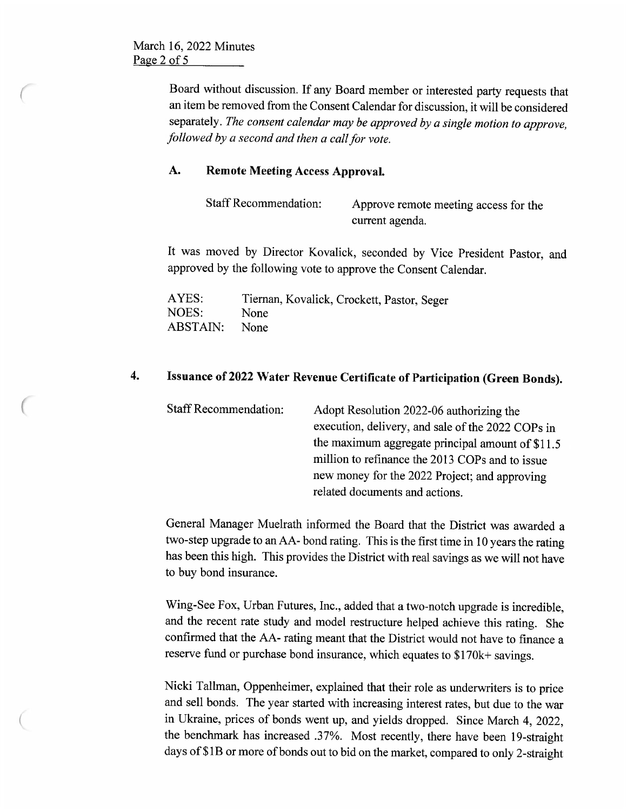Board without discussion. If any Board member or interested party requests that an item be removed from the Consent Calendar for discussion, it will be considered separately. The consent calendar may be approved by a single motion to approve, followed by a second and then a call for vote.

#### A. Remote Meeting Access Approval.

| <b>Staff Recommendation:</b> | Approve remote meeting access for the |
|------------------------------|---------------------------------------|
|                              | current agenda.                       |

It was moved by Director Kovalick, seconded by Vice President Pastor, and approved by the following vote to approve the Consent Calendar.

| AYES:    | Tiernan, Kovalick, Crockett, Pastor, Seger |
|----------|--------------------------------------------|
| NOES:    | <b>None</b>                                |
| ABSTAIN: | <b>None</b>                                |

# 4. Issuance of 2022 Water Revenue Certificate of Participation (Green Bonds).

| <b>Staff Recommendation:</b> | Adopt Resolution 2022-06 authorizing the          |
|------------------------------|---------------------------------------------------|
|                              | execution, delivery, and sale of the 2022 COPs in |
|                              | the maximum aggregate principal amount of \$11.5  |
|                              | million to refinance the 2013 COPs and to issue   |
|                              | new money for the 2022 Project; and approving     |
|                              | related documents and actions.                    |

General Manager Muelrath informed the Board that the District was awarded a two-step upgrade to an AA- bond rating. This is the first time in 10 years the rating has been this high. This provides the District with real savings as we will not have to buy bond insurance.

Wing-See Fox, Urban Futures, Inc., added that a two-notch upgrade is incredible, and the recent rate study and model restructure helped achieve this rating. She confirmed that the AA- rating meant that the District would not have to finance a reserve fund or purchase bond insurance, which equates to \$170k+ savings.

Nicki Tallman, Oppenheimer, explained that their role as underwriters is to price and sell bonds. The year started with increasing interest rates, but due to the war in Ukraine, prices of bonds went up, and yields dropped. Since March 4, 2022, the benchmark has increased .37%. Most recently, there have been 19-straight days of \$1B or more of bonds out to bid on the market, compared to only 2-straight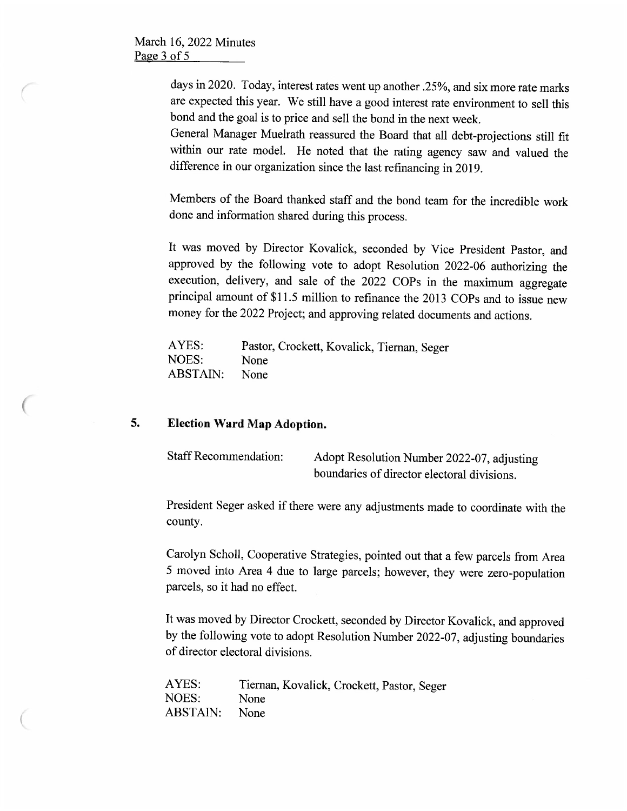March 16, 2022 Minutes Page 3 of 5

> days in 2020. Today, interest rates went up another .25%, and six more rate marks are expected this year. We still have a good interest rate environment to sell this bond and the goal is to price and sell the bond in the next week.

> General Manager Muelrath reassured the Board that all debt-projections still fit within our rate model. He noted that the rating agency saw and valued the difference in our organization since the last refinancing in 2019.

> Members of the Board thanked staff and the bond team for the incredible work done and information shared during this process.

> It was moved by Director Kovalick, seconded by Vice President Pastor, and approved by the following vote to adopt Resolution 2022-06 authorizing the execution, delivery, and sale of the 2022 COPs in the maximum aggregate principal amount of \$11.5 million to refinance the 2013 COPs and to issue new money for the 2022 Project; and approving related documents and actions.

| AYES:    | Pastor, Crockett, Kovalick, Tiernan, Seger |
|----------|--------------------------------------------|
| NOES:    | <b>None</b>                                |
| ABSTAIN: | <b>None</b>                                |

# 5. Election Ward Map Adoption.

| <b>Staff Recommendation:</b> | Adopt Resolution Number 2022-07, adjusting  |
|------------------------------|---------------------------------------------|
|                              | boundaries of director electoral divisions. |

President Seger asked if there were any adjustments made to coordinate with the county.

Carolyn Scholl, Cooperative Strategies, pointed out that a few parcels from Area 5 moved into Area 4 due to large parcels; however, they were zero-population parcels, so it had no effect.

It was moved by Director Crockett, seconded by Director Kovalick, and approved by the following vote to adopt Resolution Number 2022-07, adjusting boundaries of director electoral divisions.

| AYES:    | Tiernan, Kovalick, Crockett, Pastor, Seger |
|----------|--------------------------------------------|
| NOES:    | None                                       |
| ABSTAIN: | None                                       |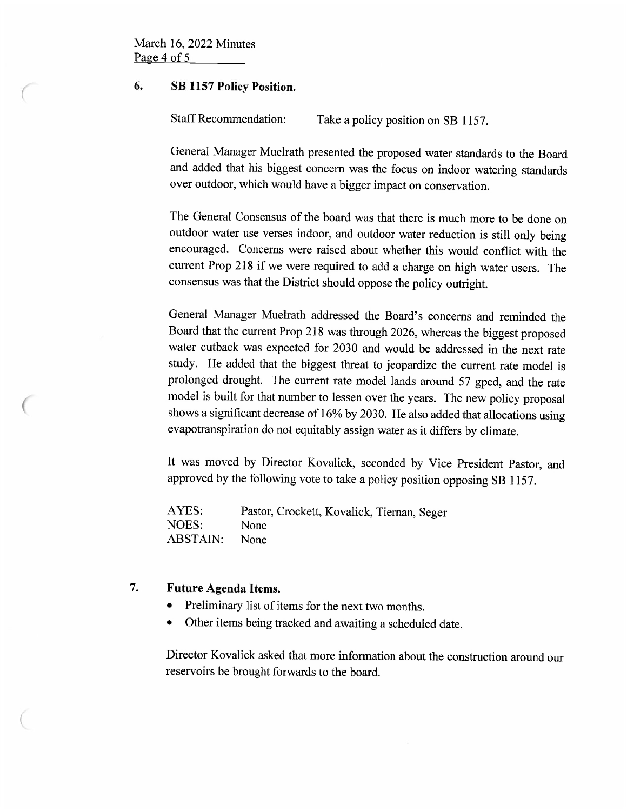#### 6. SB 1157 Policy Position.

Staff Recommendation: Take a policy position on SB 1157.

General Manager Muelrath presented the proposed water standards to the Board and added that his biggest concern was the focus on indoor watering standards over outdoor, which would have a bigger impact on conservation.

The General Consensus of the board was that there is much more to be done on outdoor water use verses indoor, and outdoor water reduction is still only being encouraged. Concerns were raised about whether this would conflict with the current Prop 218 if we were required to add a charge on high water users. The consensus was that the District should oppose the policy outright.

General Manager Muelrath addressed the Board's concerns and reminded the Board that the current Prop 218 was through 2026, whereas the biggest proposed water cutback was expected for 2030 and would be addressed in the next rate study. He added that the biggest threat to jeopardize the current rate model is prolonged drought. The current rate model lands around 57 gpcd, and the rate model is built for that number to lessen over the years. The new policy proposal shows a significant decrease of 16% by 2030. He also added that allocations using evapotranspiration do not equitably assign water as it differs by climate.

It was moved by Director Kovalick, seconded by Vice President Pastor, and approved by the following vote to take a policy position opposing SB 1157.

AYES: Pastor, Crockett, Kovalick, Tiernan, Seger<br>NOES: None NOES: ABSTAIN: None

#### 7. Future Agenda Items.

- Preliminary list of items for the next two months.
- Other items being tracked and awaiting a scheduled date.

Director Kovalick asked that more information about the construction around our reservoirs be brought forwards to the board.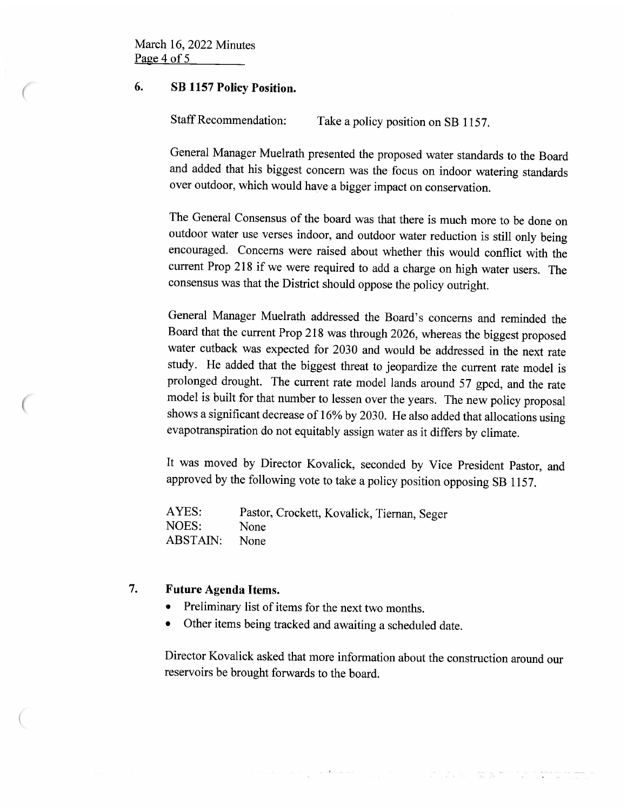# 6. SB 1157 Policy Position.

Staff Recommendation: Take a policy position on SB 1157.

General Manager Muelrath presented the proposed water standards to the Board and added that his biggest concern was the focus on indoor watering standards over outdoor, which would have a bigger impact on conservation.

The General Consensus of the board was that there is much more to be done on outdoor water use verses indoor, and outdoor water reduction is still only being encouraged. Concerns were raised about whether this would conflict with the current Prop 218 if we were required to add a charge on high water users. The consensus was that the District should oppose the policy outright.

General Manager Muelrath addressed the Board's concerns and reminded the Board that the current Prop 218 was through 2026, whereas the biggest proposed water cutback was expected for 2030 and would be addressed in the next rate study. He added that the biggest threat to jeopardize the current rate model is prolonged drought. The current rate model lands around 57 gpcd, and the rate model is built for that number to lessen over the years. The new policy proposal shows a significant decrease of 16% by 2030. He also added that allocations using evapotranspiration do not equitably assign water as it differs by climate.

It was moved by Director Kovalick, seconded by Vice President Pastor, and approved by the following vote to take a policy position opposing SB 1157.

AYES: Pastor, Crockett, Kovalick, Tiernan, Seger<br>NOES: None NOES: ABSTAIN: None

# 7. Future Agenda Items.

- Preliminary list of items for the next two months.
- Other items being tracked and awaiting a scheduled date.

Director Kovalick asked that more information about the construction around our reservoirs be brought forwards to the board.